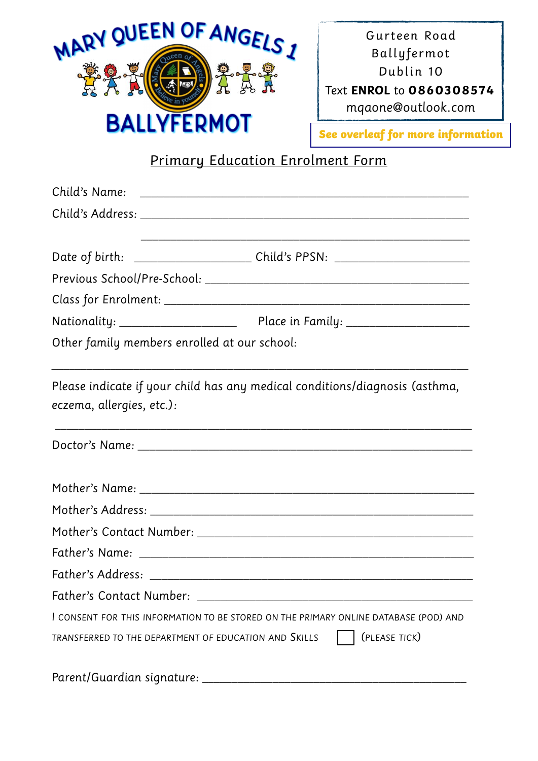

Gurteen Road Ballyfermot Dublin 10 Text **ENROL** to **0860308574** *mqaone@outlook.com*

**See overleaf for more information**

## Primary Education Enrolment Form

| Other family members enrolled at our school:          |                                                                                      |
|-------------------------------------------------------|--------------------------------------------------------------------------------------|
| eczema, allergies, etc.):                             | Please indicate if your child has any medical conditions/diagnosis (asthma,          |
|                                                       |                                                                                      |
|                                                       |                                                                                      |
|                                                       |                                                                                      |
|                                                       |                                                                                      |
|                                                       |                                                                                      |
|                                                       |                                                                                      |
| Father's Contact Number:                              |                                                                                      |
|                                                       | I CONSENT FOR THIS INFORMATION TO BE STORED ON THE PRIMARY ONLINE DATABASE (POD) AND |
| TRANSFERRED TO THE DEPARTMENT OF EDUCATION AND SKILLS | (PLEASE TICK)                                                                        |
| Parent/Guardian signature: __                         |                                                                                      |